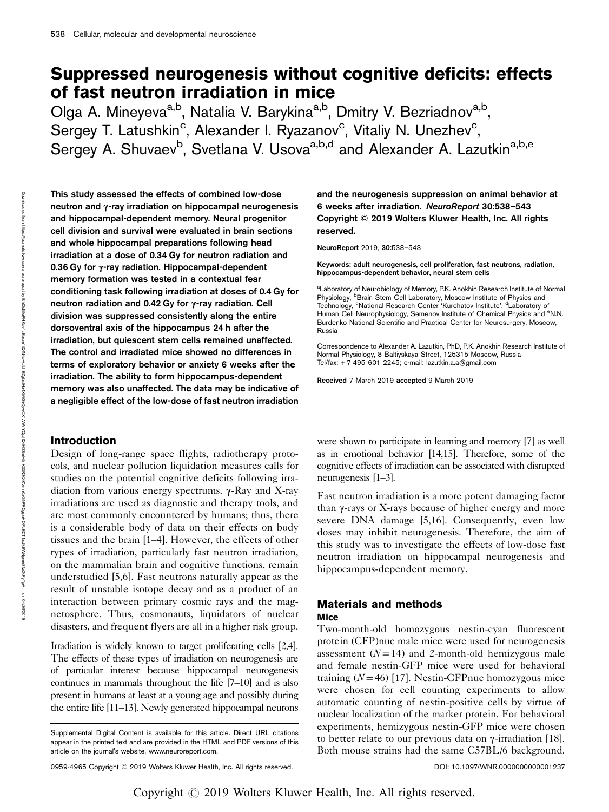# Suppressed neurogenesis without cognitive deficits: effects of fast neutron irradiation in mice

Olga A. Mineyeva<sup>a,b</sup>, Natalia V. Barykina<sup>a,b</sup>, Dmitry V. Bezriadnov<sup>a,b</sup>, Sergey T. Latushkin<sup>c</sup>, Alexander I. Ryazanov<sup>c</sup>, Vitaliy N. Unezhev<sup>c</sup>, Sergey A. Shuvaev<sup>b</sup>, Svetlana V. Usova<sup>a,b,d</sup> and Alexander A. Lazutkin<sup>a,b,e</sup>

This study assessed the effects of combined low-dose neutron and γ-ray irradiation on hippocampal neurogenesis and hippocampal-dependent memory. Neural progenitor cell division and survival were evaluated in brain sections and whole hippocampal preparations following head irradiation at a dose of 0.34 Gy for neutron radiation and 0.36 Gy for γ-ray radiation. Hippocampal-dependent memory formation was tested in a contextual fear conditioning task following irradiation at doses of 0.4 Gy for neutron radiation and 0.42 Gy for γ-ray radiation. Cell division was suppressed consistently along the entire dorsoventral axis of the hippocampus 24 h after the irradiation, but quiescent stem cells remained unaffected. The control and irradiated mice showed no differences in terms of exploratory behavior or anxiety 6 weeks after the irradiation. The ability to form hippocampus-dependent memory was also unaffected. The data may be indicative of a negligible effect of the low-dose of fast neutron irradiation

### **Introduction**

Design of long-range space flights, radiotherapy protocols, and nuclear pollution liquidation measures calls for studies on the potential cognitive deficits following irradiation from various energy spectrums. γ-Ray and X-ray irradiations are used as diagnostic and therapy tools, and are most commonly encountered by humans; thus, there is a considerable body of data on their effects on body tissues and the brain [1–4]. However, the effects of other types of irradiation, particularly fast neutron irradiation, on the mammalian brain and cognitive functions, remain understudied [5,6]. Fast neutrons naturally appear as the result of unstable isotope decay and as a product of an interaction between primary cosmic rays and the magnetosphere. Thus, cosmonauts, liquidators of nuclear disasters, and frequent flyers are all in a higher risk group.

Irradiation is widely known to target proliferating cells [2,4]. The effects of these types of irradiation on neurogenesis are of particular interest because hippocampal neurogenesis continues in mammals throughout the life [7–10] and is also present in humans at least at a young age and possibly during the entire life [11–13]. Newly generated hippocampal neurons and the neurogenesis suppression on animal behavior at 6 weeks after irradiation. NeuroReport 30:538–543 Copyright © 2019 Wolters Kluwer Health, Inc. All rights reserved.

NeuroReport 2019, 30:538–543

Keywords: adult neurogenesis, cell proliferation, fast neutrons, radiation, hippocampus-dependent behavior, neural stem cells

<sup>a</sup>Laboratory of Neurobiology of Memory, P.K. Anokhin Research Institute of Normal Physiology, <sup>b</sup>Brain Stem Cell Laboratory, Moscow Institute of Physics and<br>Technology, <sup>c</sup>National Research Center 'Kurchatov Institute', <sup>d</sup>Laboratory of Human Cell Neurophysiology, Semenov Institute of Chemical Physics and <sup>e</sup>N.N. Burdenko National Scientific and Practical Center for Neurosurgery, Moscow, Russia

Correspondence to Alexander A. Lazutkin, PhD, P.K. Anokhin Research Institute of Normal Physiology, 8 Baltiyskaya Street, 125315 Moscow, Russia Tel/fax:  $+7$  495 601 2245; e-mail: [lazutkin.a.a@gmail.com](mailto:lazutkin.a.a@gmail.com)

Received 7 March 2019 accepted 9 March 2019

were shown to participate in learning and memory [7] as well as in emotional behavior [14,15]. Therefore, some of the cognitive effects of irradiation can be associated with disrupted neurogenesis [1–3].

Fast neutron irradiation is a more potent damaging factor than γ-rays or X-rays because of higher energy and more severe DNA damage [5,16]. Consequently, even low doses may inhibit neurogenesis. Therefore, the aim of this study was to investigate the effects of low-dose fast neutron irradiation on hippocampal neurogenesis and hippocampus-dependent memory.

## Materials and methods

### **Mice**

Two-month-old homozygous nestin-cyan fluorescent protein (CFP)nuc male mice were used for neurogenesis assessment  $(N=14)$  and 2-month-old hemizygous male and female nestin-GFP mice were used for behavioral training  $(N = 46)$  [17]. Nestin-CFP nuc homozygous mice were chosen for cell counting experiments to allow automatic counting of nestin-positive cells by virtue of nuclear localization of the marker protein. For behavioral experiments, hemizygous nestin-GFP mice were chosen to better relate to our previous data on γ-irradiation [18]. Both mouse strains had the same C57BL/6 background.

BhDMf6ePHKax1zEoum1tQfZda+kJLhEZgbsHo4XXMiOhCywCX1AWnYQp/IlQrHD3mH5nK33R3QiKVmn0xGfrPRCgpeHOPzECT1xJkEWNpmx8fXFyTpA===

on 04/26/2019

Downloaded

faring the university connected with the parties https://journals.lww.com/neuroreport

হ

0959-4965 Copyright © 2019 Wolters Kluwer Health, Inc. All rights reserved. DOI: 10.1097/WNR.0000000000001237

Supplemental Digital Content is available for this article. Direct URL citations appear in the printed text and are provided in the HTML and PDF versions of this article on the journal's website, [www.neuroreport.com.](http://www.neuroreport.com)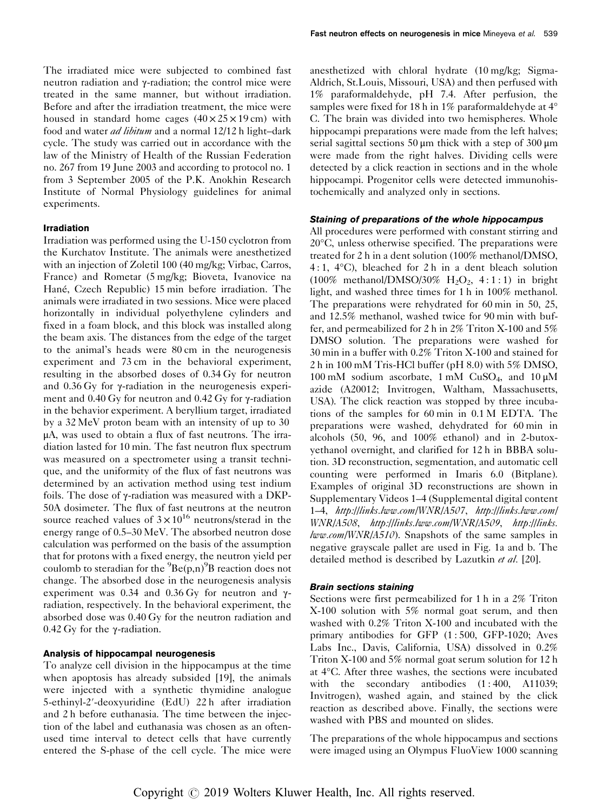The irradiated mice were subjected to combined fast neutron radiation and γ-radiation; the control mice were treated in the same manner, but without irradiation. Before and after the irradiation treatment, the mice were housed in standard home cages  $(40 \times 25 \times 19 \text{ cm})$  with food and water *ad libitum* and a normal 12/12 h light–dark cycle. The study was carried out in accordance with the law of the Ministry of Health of the Russian Federation no. 267 from 19 June 2003 and according to protocol no. 1 from 3 September 2005 of the P.K. Anokhin Research Institute of Normal Physiology guidelines for animal experiments.

### Irradiation

Irradiation was performed using the U-150 cyclotron from the Kurchatov Institute. The animals were anesthetized with an injection of Zoletil 100 (40 mg/kg; Virbac, Carros, France) and Rometar (5 mg/kg; Bioveta, Ivanovice na Hané, Czech Republic) 15 min before irradiation. The animals were irradiated in two sessions. Mice were placed horizontally in individual polyethylene cylinders and fixed in a foam block, and this block was installed along the beam axis. The distances from the edge of the target to the animal's heads were 80 cm in the neurogenesis experiment and 73 cm in the behavioral experiment, resulting in the absorbed doses of 0.34 Gy for neutron and 0.36 Gy for γ-radiation in the neurogenesis experiment and 0.40 Gy for neutron and 0.42 Gy for γ-radiation in the behavior experiment. A beryllium target, irradiated by a 32 MeV proton beam with an intensity of up to 30 μA, was used to obtain a flux of fast neutrons. The irradiation lasted for 10 min. The fast neutron flux spectrum was measured on a spectrometer using a transit technique, and the uniformity of the flux of fast neutrons was determined by an activation method using test indium foils. The dose of γ-radiation was measured with a DKP-50A dosimeter. The flux of fast neutrons at the neutron source reached values of  $3 \times 10^{16}$  neutrons/sterad in the energy range of 0.5–30 MeV. The absorbed neutron dose calculation was performed on the basis of the assumption that for protons with a fixed energy, the neutron yield per coulomb to steradian for the  ${}^{9}Be(p,n){}^{9}B$  reaction does not change. The absorbed dose in the neurogenesis analysis experiment was 0.34 and 0.36 Gy for neutron and γradiation, respectively. In the behavioral experiment, the absorbed dose was 0.40 Gy for the neutron radiation and 0.42 Gy for the γ-radiation.

### Analysis of hippocampal neurogenesis

To analyze cell division in the hippocampus at the time when apoptosis has already subsided [19], the animals were injected with a synthetic thymidine analogue 5-ethinyl-2′-deoxyuridine (EdU) 22 h after irradiation and 2 h before euthanasia. The time between the injection of the label and euthanasia was chosen as an oftenused time interval to detect cells that have currently entered the S-phase of the cell cycle. The mice were anesthetized with chloral hydrate (10 mg/kg; Sigma-Aldrich, St.Louis, Missouri, USA) and then perfused with 1% paraformaldehyde, pH 7.4. After perfusion, the samples were fixed for 18 h in 1% paraformaldehyde at 4° C. The brain was divided into two hemispheres. Whole hippocampi preparations were made from the left halves; serial sagittal sections 50 μm thick with a step of 300 μm were made from the right halves. Dividing cells were detected by a click reaction in sections and in the whole hippocampi. Progenitor cells were detected immunohistochemically and analyzed only in sections.

All procedures were performed with constant stirring and 20°C, unless otherwise specified. The preparations were treated for 2 h in a dent solution (100% methanol/DMSO, 4 : 1, 4°C), bleached for 2 h in a dent bleach solution (100% methanol/DMSO/30%  $H<sub>2</sub>O<sub>2</sub>$ , 4:1:1) in bright light, and washed three times for 1 h in 100% methanol. The preparations were rehydrated for 60 min in 50, 25, and 12.5% methanol, washed twice for 90 min with buffer, and permeabilized for 2 h in 2% Triton X-100 and 5% DMSO solution. The preparations were washed for 30 min in a buffer with 0.2% Triton X-100 and stained for 2 h in 100 mM Tris-HCl buffer (pH 8.0) with 5% DMSO, 100 mM sodium ascorbate, 1 mM CuSO4, and 10 μM azide (A20012; Invitrogen, Waltham, Massachusetts, USA). The click reaction was stopped by three incubations of the samples for 60 min in 0.1 M EDTA. The preparations were washed, dehydrated for 60 min in alcohols (50, 96, and 100% ethanol) and in 2-butoxyethanol overnight, and clarified for 12 h in BBBA solution. 3D reconstruction, segmentation, and automatic cell counting were performed in Imaris 6.0 (Bitplane). Examples of original 3D reconstructions are shown in Supplementary Videos 1–4 (Supplemental digital content 1–4, <http://links.lww.com/WNR/A507>, [http://links.lww.com/](http://links.lww.com/WNR/A508) [WNR/A508](http://links.lww.com/WNR/A508), <http://links.lww.com/WNR/A509>, [http://links.](http://links.lww.com/WNR/A510)  $lww.com/WNR/A510$ . Snapshots of the same samples in negative grayscale pallet are used in Fig. 1a and b. The detailed method is described by Lazutkin et al. [20].

Sections were first permeabilized for 1 h in a 2% Triton X-100 solution with 5% normal goat serum, and then washed with 0.2% Triton X-100 and incubated with the primary antibodies for GFP (1 : 500, GFP-1020; Aves Labs Inc., Davis, California, USA) dissolved in 0.2% Triton X-100 and 5% normal goat serum solution for 12 h at 4°C. After three washes, the sections were incubated with the secondary antibodies  $(1:400, \text{A}11039)$ ; Invitrogen), washed again, and stained by the click reaction as described above. Finally, the sections were washed with PBS and mounted on slides.

The preparations of the whole hippocampus and sections were imaged using an Olympus FluoView 1000 scanning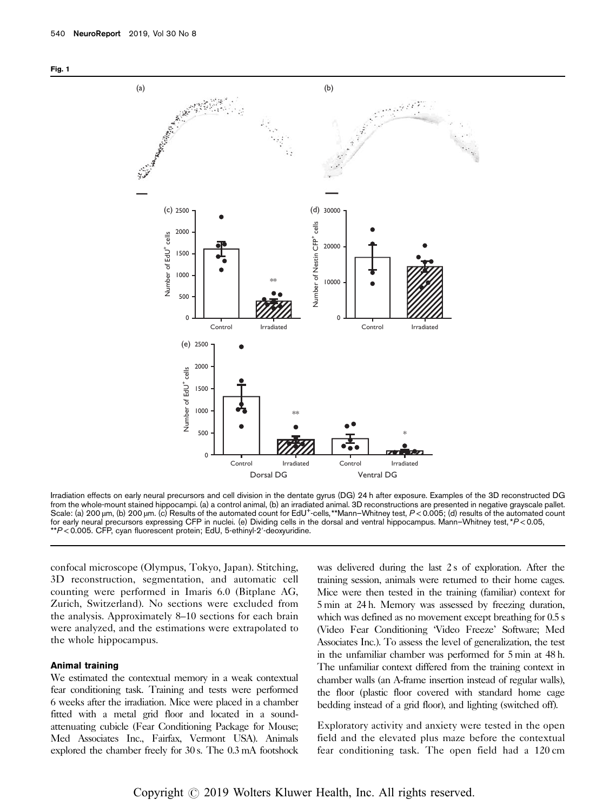



Irradiation effects on early neural precursors and cell division in the dentate gyrus (DG) 24 h after exposure. Examples of the 3D reconstructed DG from the whole-mount stained hippocampi. (a) a control animal, (b) an irradiated animal. 3D reconstructions are presented in negative grayscale pallet. Scale: (a) 200 µm, (b) 200 µm. (c) Results of the automated count for EdU+ -cells,\*\*Mann–Whitney test, P<0.005; (d) results of the automated count for early neural precursors expressing CFP in nuclei. (e) Dividing cells in the dorsal and ventral hippocampus. Mann–Whitney test, \*P<0.05, \*\*P<0.005. CFP, cyan fluorescent protein; EdU, 5-ethinyl-2′-deoxyuridine.

confocal microscope (Olympus, Tokyo, Japan). Stitching, 3D reconstruction, segmentation, and automatic cell counting were performed in Imaris 6.0 (Bitplane AG, Zurich, Switzerland). No sections were excluded from the analysis. Approximately 8–10 sections for each brain were analyzed, and the estimations were extrapolated to the whole hippocampus.

### Animal training

We estimated the contextual memory in a weak contextual fear conditioning task. Training and tests were performed 6 weeks after the irradiation. Mice were placed in a chamber fitted with a metal grid floor and located in a soundattenuating cubicle (Fear Conditioning Package for Mouse; Med Associates Inc., Fairfax, Vermont USA). Animals explored the chamber freely for 30 s. The 0.3 mA footshock

was delivered during the last 2 s of exploration. After the training session, animals were returned to their home cages. Mice were then tested in the training (familiar) context for 5 min at 24 h. Memory was assessed by freezing duration, which was defined as no movement except breathing for  $0.5 s$ (Video Fear Conditioning 'Video Freeze' Software; Med Associates Inc.). To assess the level of generalization, the test in the unfamiliar chamber was performed for 5 min at 48 h. The unfamiliar context differed from the training context in chamber walls (an A-frame insertion instead of regular walls), the floor (plastic floor covered with standard home cage bedding instead of a grid floor), and lighting (switched off).

Exploratory activity and anxiety were tested in the open field and the elevated plus maze before the contextual fear conditioning task. The open field had a 120 cm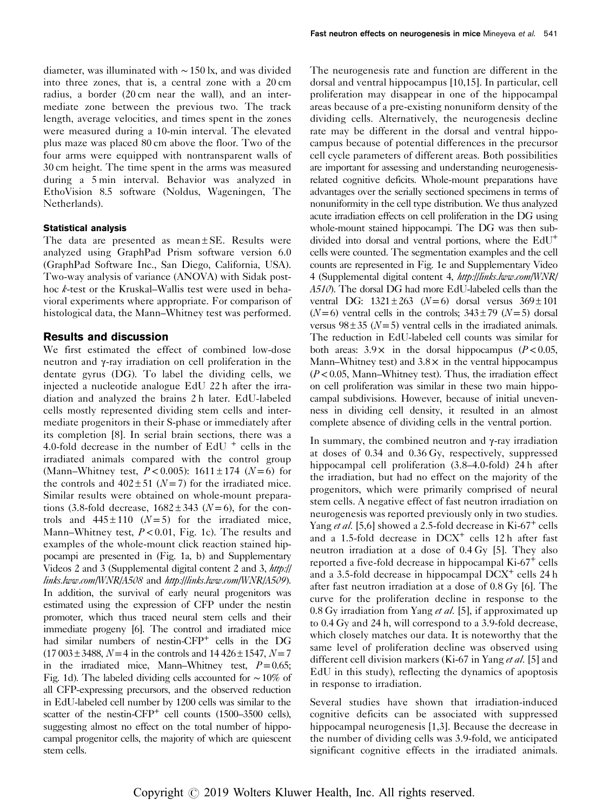diameter, was illuminated with ∼150 lx, and was divided into three zones, that is, a central zone with a 20 cm radius, a border (20 cm near the wall), and an intermediate zone between the previous two. The track length, average velocities, and times spent in the zones were measured during a 10-min interval. The elevated plus maze was placed 80 cm above the floor. Two of the four arms were equipped with nontransparent walls of 30 cm height. The time spent in the arms was measured during a 5 min interval. Behavior was analyzed in EthoVision 8.5 software (Noldus, Wageningen, The Netherlands).

### Statistical analysis

The data are presented as mean  $\pm$  SE. Results were analyzed using GraphPad Prism software version 6.0 (GraphPad Software Inc., San Diego, California, USA). Two-way analysis of variance (ANOVA) with Sidak posthoc k-test or the Kruskal–Wallis test were used in behavioral experiments where appropriate. For comparison of histological data, the Mann–Whitney test was performed.

### Results and discussion

We first estimated the effect of combined low-dose neutron and γ-ray irradiation on cell proliferation in the dentate gyrus (DG). To label the dividing cells, we injected a nucleotide analogue EdU 22 h after the irradiation and analyzed the brains 2 h later. EdU-labeled cells mostly represented dividing stem cells and intermediate progenitors in their S-phase or immediately after its completion [8]. In serial brain sections, there was a 4.0-fold decrease in the number of EdU  $^+$  cells in the irradiated animals compared with the control group (Mann–Whitney test,  $P < 0.005$ ): 1611 ± 174 (N = 6) for the controls and  $402 \pm 51$  (N = 7) for the irradiated mice. Similar results were obtained on whole-mount preparations (3.8-fold decrease,  $1682 \pm 343$  ( $N=6$ ), for the controls and  $445 \pm 110$  ( $N = 5$ ) for the irradiated mice, Mann–Whitney test,  $P < 0.01$ , Fig. 1c). The results and examples of the whole-mount click reaction stained hippocampi are presented in (Fig. 1a, b) and Supplementary Videos 2 and 3 (Supplemental digital content 2 and 3, [http://](http://links.lww.com/WNR/A508) [links.lww.com/WNR/A508](http://links.lww.com/WNR/A508) and <http://links.lww.com/WNR/A509>). In addition, the survival of early neural progenitors was estimated using the expression of CFP under the nestin promoter, which thus traced neural stem cells and their immediate progeny [6]. The control and irradiated mice had similar numbers of nestin-CFP<sup>+</sup> cells in the DG  $(17003 \pm 3488, N=4$  in the controls and  $14426 \pm 1547, N=7$ in the irradiated mice, Mann–Whitney test,  $P=0.65$ ; Fig. 1d). The labeled dividing cells accounted for ∼10% of all CFP-expressing precursors, and the observed reduction in EdU-labeled cell number by 1200 cells was similar to the scatter of the nestin-CFP<sup>+</sup> cell counts (1500-3500 cells), suggesting almost no effect on the total number of hippocampal progenitor cells, the majority of which are quiescent stem cells.

The neurogenesis rate and function are different in the dorsal and ventral hippocampus [10,15]. In particular, cell proliferation may disappear in one of the hippocampal areas because of a pre-existing nonuniform density of the dividing cells. Alternatively, the neurogenesis decline rate may be different in the dorsal and ventral hippocampus because of potential differences in the precursor cell cycle parameters of different areas. Both possibilities are important for assessing and understanding neurogenesisrelated cognitive deficits. Whole-mount preparations have advantages over the serially sectioned specimens in terms of nonuniformity in the cell type distribution. We thus analyzed acute irradiation effects on cell proliferation in the DG using whole-mount stained hippocampi. The DG was then subdivided into dorsal and ventral portions, where the EdU<sup>+</sup> cells were counted. The segmentation examples and the cell counts are represented in Fig. 1e and Supplementary Video 4 (Supplemental digital content 4, [http://links.lww.com/WNR/](http://links.lww.com/WNR/A510) [A510](http://links.lww.com/WNR/A510)). The dorsal DG had more EdU-labeled cells than the ventral DG:  $1321 \pm 263$  (N=6) dorsal versus  $369 \pm 101$  $(N=6)$  ventral cells in the controls;  $343 \pm 79$   $(N=5)$  dorsal versus  $98 \pm 35$  ( $N = 5$ ) ventral cells in the irradiated animals. The reduction in EdU-labeled cell counts was similar for both areas:  $3.9 \times$  in the dorsal hippocampus ( $P < 0.05$ , Mann–Whitney test) and  $3.8 \times$  in the ventral hippocampus  $(P<0.05$ , Mann–Whitney test). Thus, the irradiation effect on cell proliferation was similar in these two main hippocampal subdivisions. However, because of initial unevenness in dividing cell density, it resulted in an almost complete absence of dividing cells in the ventral portion.

In summary, the combined neutron and γ-ray irradiation at doses of 0.34 and 0.36 Gy, respectively, suppressed hippocampal cell proliferation (3.8–4.0-fold) 24 h after the irradiation, but had no effect on the majority of the progenitors, which were primarily comprised of neural stem cells. A negative effect of fast neutron irradiation on neurogenesis was reported previously only in two studies. Yang et al. [5,6] showed a 2.5-fold decrease in Ki-67<sup>+</sup> cells and a 1.5-fold decrease in  $DCX<sup>+</sup>$  cells 12 h after fast neutron irradiation at a dose of 0.4 Gy [5]. They also reported a five-fold decrease in hippocampal Ki-67<sup>+</sup> cells and a 3.5-fold decrease in hippocampal  $DCX<sup>+</sup>$  cells 24 h after fast neutron irradiation at a dose of 0.8 Gy [6]. The curve for the proliferation decline in response to the 0.8 Gy irradiation from Yang *et al.* [5], if approximated up to 0.4 Gy and 24 h, will correspond to a 3.9-fold decrease, which closely matches our data. It is noteworthy that the same level of proliferation decline was observed using different cell division markers (Ki-67 in Yang et al. [5] and EdU in this study), reflecting the dynamics of apoptosis in response to irradiation.

Several studies have shown that irradiation-induced cognitive deficits can be associated with suppressed hippocampal neurogenesis [1,3]. Because the decrease in the number of dividing cells was 3.9-fold, we anticipated significant cognitive effects in the irradiated animals.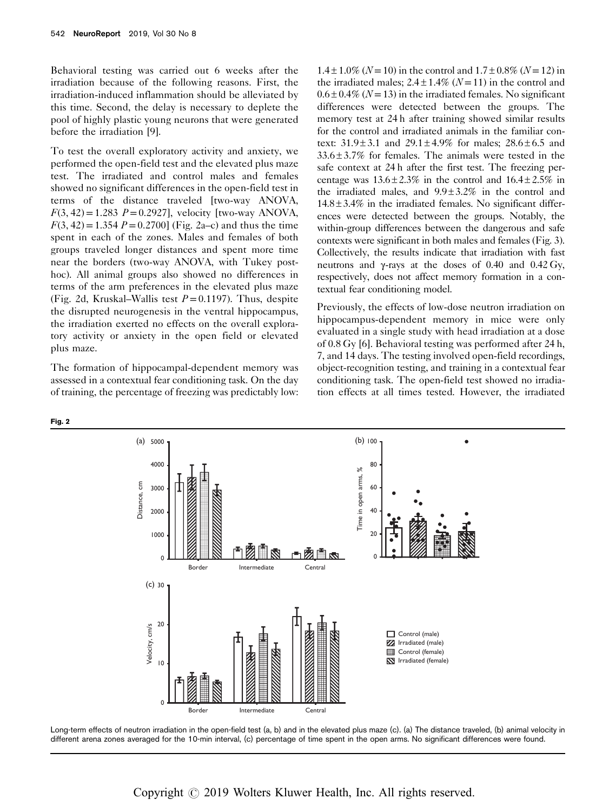Behavioral testing was carried out 6 weeks after the irradiation because of the following reasons. First, the irradiation-induced inflammation should be alleviated by this time. Second, the delay is necessary to deplete the pool of highly plastic young neurons that were generated before the irradiation [9].

To test the overall exploratory activity and anxiety, we performed the open-field test and the elevated plus maze test. The irradiated and control males and females showed no significant differences in the open-field test in terms of the distance traveled [two-way ANOVA,  $F(3, 42) = 1.283$   $P = 0.2927$ , velocity [two-way ANOVA,  $F(3, 42) = 1.354 P = 0.2700$  (Fig. 2a–c) and thus the time spent in each of the zones. Males and females of both groups traveled longer distances and spent more time near the borders (two-way ANOVA, with Tukey posthoc). All animal groups also showed no differences in terms of the arm preferences in the elevated plus maze (Fig. 2d, Kruskal–Wallis test  $P = 0.1197$ ). Thus, despite the disrupted neurogenesis in the ventral hippocampus, the irradiation exerted no effects on the overall exploratory activity or anxiety in the open field or elevated plus maze.

The formation of hippocampal-dependent memory was assessed in a contextual fear conditioning task. On the day of training, the percentage of freezing was predictably low:

Fig. 2

 $1.4 \pm 1.0\%$  (N = 10) in the control and  $1.7 \pm 0.8\%$  (N = 12) in the irradiated males;  $2.4 \pm 1.4\%$  ( $N = 11$ ) in the control and  $0.6 \pm 0.4\%$  (N = 13) in the irradiated females. No significant differences were detected between the groups. The memory test at 24 h after training showed similar results for the control and irradiated animals in the familiar context:  $31.9 \pm 3.1$  and  $29.1 \pm 4.9\%$  for males:  $28.6 \pm 6.5$  and 33.6 ± 3.7% for females. The animals were tested in the safe context at 24 h after the first test. The freezing percentage was  $13.6 \pm 2.3\%$  in the control and  $16.4 \pm 2.5\%$  in the irradiated males, and  $9.9 \pm 3.2\%$  in the control and  $14.8 \pm 3.4\%$  in the irradiated females. No significant differences were detected between the groups. Notably, the within-group differences between the dangerous and safe contexts were significant in both males and females (Fig. 3). Collectively, the results indicate that irradiation with fast neutrons and γ-rays at the doses of 0.40 and 0.42 Gy, respectively, does not affect memory formation in a contextual fear conditioning model.

Previously, the effects of low-dose neutron irradiation on hippocampus-dependent memory in mice were only evaluated in a single study with head irradiation at a dose of 0.8 Gy [6]. Behavioral testing was performed after 24 h, 7, and 14 days. The testing involved open-field recordings, object-recognition testing, and training in a contextual fear conditioning task. The open-field test showed no irradiation effects at all times tested. However, the irradiated



Long-term effects of neutron irradiation in the open-field test (a, b) and in the elevated plus maze (c). (a) The distance traveled, (b) animal velocity in different arena zones averaged for the 10-min interval, (c) percentage of time spent in the open arms. No significant differences were found.